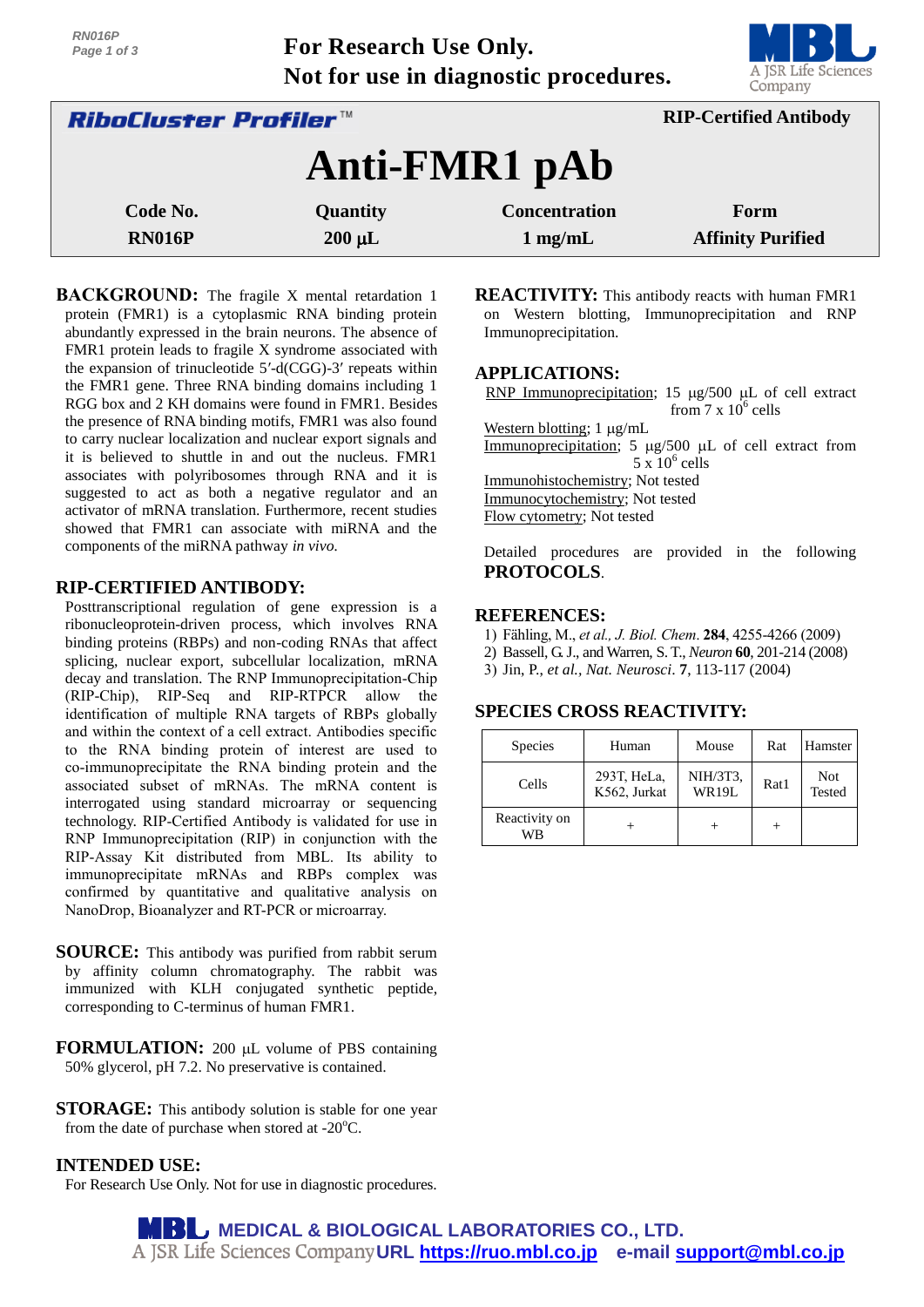**For Research Use Only. Not for use in diagnostic procedures.**



| <i><b>RiboCluster Profiler™</b></i> |                 |                      | <b>RIP-Certified Antibody</b> |  |
|-------------------------------------|-----------------|----------------------|-------------------------------|--|
|                                     |                 | Anti-FMR1 pAb        |                               |  |
| Code No.                            | <b>Quantity</b> | <b>Concentration</b> | Form                          |  |
| <b>RN016P</b>                       | $200 \mu L$     | $1$ mg/mL            | <b>Affinity Purified</b>      |  |

**BACKGROUND:** The fragile X mental retardation 1 protein (FMR1) is a cytoplasmic RNA binding protein abundantly expressed in the brain neurons. The absence of FMR1 protein leads to fragile X syndrome associated with the expansion of trinucleotide 5′-d(CGG)-3′ repeats within the FMR1 gene. Three RNA binding domains including 1 RGG box and 2 KH domains were found in FMR1. Besides the presence of RNA binding motifs, FMR1 was also found to carry nuclear localization and nuclear export signals and it is believed to shuttle in and out the nucleus. FMR1 associates with polyribosomes through RNA and it is suggested to act as both a negative regulator and an activator of mRNA translation. Furthermore, recent studies showed that FMR1 can associate with miRNA and the components of the miRNA pathway *in vivo.*

## **RIP-CERTIFIED ANTIBODY:**

Posttranscriptional regulation of gene expression is a ribonucleoprotein-driven process, which involves RNA binding proteins (RBPs) and non-coding RNAs that affect splicing, nuclear export, subcellular localization, mRNA decay and translation. The RNP Immunoprecipitation-Chip (RIP-Chip), RIP-Seq and RIP-RTPCR allow the identification of multiple RNA targets of RBPs globally and within the context of a cell extract. Antibodies specific to the RNA binding protein of interest are used to co-immunoprecipitate the RNA binding protein and the associated subset of mRNAs. The mRNA content is interrogated using standard microarray or sequencing technology. RIP-Certified Antibody is validated for use in RNP Immunoprecipitation (RIP) in conjunction with the RIP-Assay Kit distributed from MBL. Its ability to immunoprecipitate mRNAs and RBPs complex was confirmed by quantitative and qualitative analysis on NanoDrop, Bioanalyzer and RT-PCR or microarray.

**SOURCE:** This antibody was purified from rabbit serum by affinity column chromatography. The rabbit was immunized with KLH conjugated synthetic peptide, corresponding to C-terminus of human FMR1.

**FORMULATION:** 200 µL volume of PBS containing 50% glycerol, pH 7.2. No preservative is contained.

**STORAGE:** This antibody solution is stable for one year from the date of purchase when stored at  $-20^{\circ}$ C.

## **INTENDED USE:**

For Research Use Only. Not for use in diagnostic procedures.

**REACTIVITY:** This antibody reacts with human FMR1 on Western blotting, Immunoprecipitation and RNP Immunoprecipitation.

## **APPLICATIONS:**

RNP Immunoprecipitation; 15  $\mu$ g/500  $\mu$ L of cell extract from  $7 \times 10^6$  cells

Western blotting;  $1 \mu g/mL$ Immunoprecipitation;  $5 \mu g/500 \mu L$  of cell extract from  $5 \times 10^6$  cells Immunohistochemistry; Not tested Immunocytochemistry; Not tested Flow cytometry; Not tested

Detailed procedures are provided in the following **PROTOCOLS**.

#### **REFERENCES:**

- 1) Fähling, M., *et al., J. Biol. Chem*. **284**, 4255-4266 (2009)
- 2) Bassell, G. J., and Warren, S. T., *Neuron* **60**, 201-214 (2008)
- 3) Jin, P., *et al., Nat. Neurosci*. **7**, 113-117 (2004)

# **SPECIES CROSS REACTIVITY:**

| <b>Species</b>      | Human                       | Mouse             | Rat  | Hamster              |
|---------------------|-----------------------------|-------------------|------|----------------------|
| Cells               | 293T, HeLa,<br>K562, Jurkat | NIH/3T3,<br>WR19L | Rat1 | <b>Not</b><br>Tested |
| Reactivity on<br>WB |                             |                   |      |                      |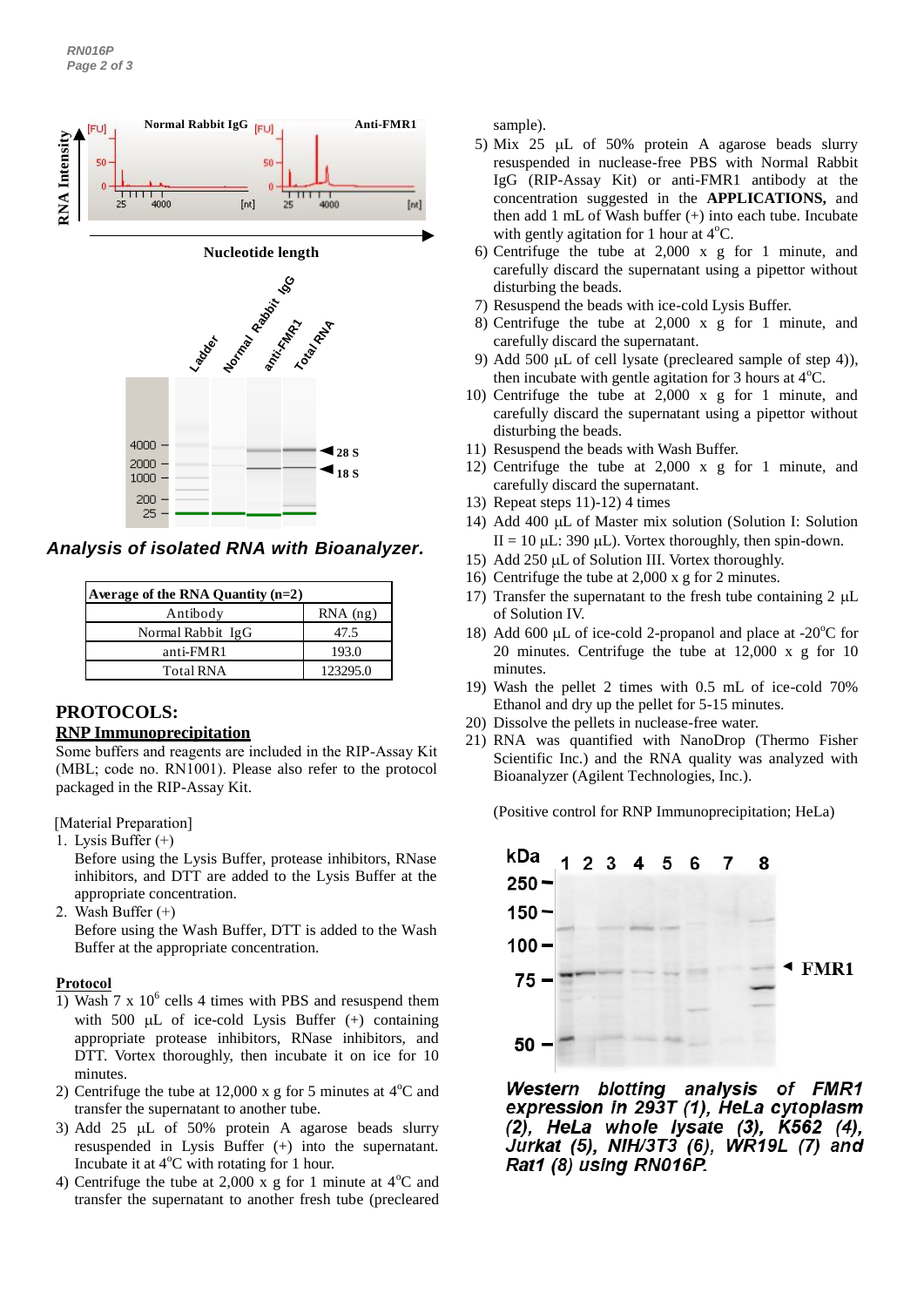

*Analysis of isolated RNA with Bioanalyzer.*

| Average of the RNA Quantity (n=2) |            |  |  |  |
|-----------------------------------|------------|--|--|--|
| Antibody                          | $RNA$ (ng) |  |  |  |
| Normal Rabbit IgG                 | 47.5       |  |  |  |
| anti-FMR1                         | 193.0      |  |  |  |
| <b>Total RNA</b>                  | 123295.0   |  |  |  |

# **PROTOCOLS:**

## **RNP Immunoprecipitation**

Some buffers and reagents are included in the RIP-Assay Kit (MBL; code no. RN1001). Please also refer to the protocol packaged in the RIP-Assay Kit.

[Material Preparation]

1. Lysis Buffer (+)

Before using the Lysis Buffer, protease inhibitors, RNase inhibitors, and DTT are added to the Lysis Buffer at the appropriate concentration.

2. Wash Buffer (+)

Before using the Wash Buffer, DTT is added to the Wash Buffer at the appropriate concentration.

#### **Protocol**

- 1) Wash 7 x  $10^6$  cells 4 times with PBS and resuspend them with 500  $\mu$ L of ice-cold Lysis Buffer (+) containing appropriate protease inhibitors, RNase inhibitors, and DTT. Vortex thoroughly, then incubate it on ice for 10 minutes.
- 2) Centrifuge the tube at 12,000 x g for 5 minutes at  $4^{\circ}$ C and transfer the supernatant to another tube.
- 3) Add 25  $\mu$ L of 50% protein A agarose beads slurry resuspended in Lysis Buffer (+) into the supernatant. Incubate it at  $4^{\circ}$ C with rotating for 1 hour.
- 4) Centrifuge the tube at 2,000 x g for 1 minute at  $4^{\circ}$ C and transfer the supernatant to another fresh tube (precleared

sample).

- 5) Mix 25  $\mu$ L of 50% protein A agarose beads slurry resuspended in nuclease-free PBS with Normal Rabbit IgG (RIP-Assay Kit) or anti-FMR1 antibody at the concentration suggested in the **APPLICATIONS,** and then add 1 mL of Wash buffer (+) into each tube. Incubate with gently agitation for 1 hour at  $4^{\circ}$ C.
- 6) Centrifuge the tube at 2,000 x g for 1 minute, and carefully discard the supernatant using a pipettor without disturbing the beads.
- 7) Resuspend the beads with ice-cold Lysis Buffer.
- 8) Centrifuge the tube at 2,000 x g for 1 minute, and carefully discard the supernatant.
- 9) Add 500  $\mu$ L of cell lysate (precleared sample of step 4)), then incubate with gentle agitation for 3 hours at  $4^{\circ}$ C.
- 10) Centrifuge the tube at 2,000 x g for 1 minute, and carefully discard the supernatant using a pipettor without disturbing the beads.
- 11) Resuspend the beads with Wash Buffer.
- 12) Centrifuge the tube at 2,000 x g for 1 minute, and carefully discard the supernatant.
- 13) Repeat steps 11)-12) 4 times
- 14) Add 400 µL of Master mix solution (Solution I: Solution II = 10  $\mu$ L: 390  $\mu$ L). Vortex thoroughly, then spin-down.
- 15) Add 250  $\mu$ L of Solution III. Vortex thoroughly.
- 16) Centrifuge the tube at 2,000 x g for 2 minutes.
- 17) Transfer the supernatant to the fresh tube containing  $2 \mu L$ of Solution IV.
- 18) Add 600  $\mu$ L of ice-cold 2-propanol and place at -20 $\degree$ C for 20 minutes. Centrifuge the tube at 12,000 x g for 10 minutes.
- 19) Wash the pellet 2 times with 0.5 mL of ice-cold 70% Ethanol and dry up the pellet for 5-15 minutes.
- 20) Dissolve the pellets in nuclease-free water.
- 21) RNA was quantified with NanoDrop (Thermo Fisher Scientific Inc.) and the RNA quality was analyzed with Bioanalyzer (Agilent Technologies, Inc.).

(Positive control for RNP Immunoprecipitation; HeLa)



Western blotting analysis of FMR1 expression in 293T (1), HeLa cytoplasm (2), HeLa whole lysate (3), K562 (4), Jurkat (5), NIH/3T3 (6), WR19L (7) and Rat1 (8) using RN016P.